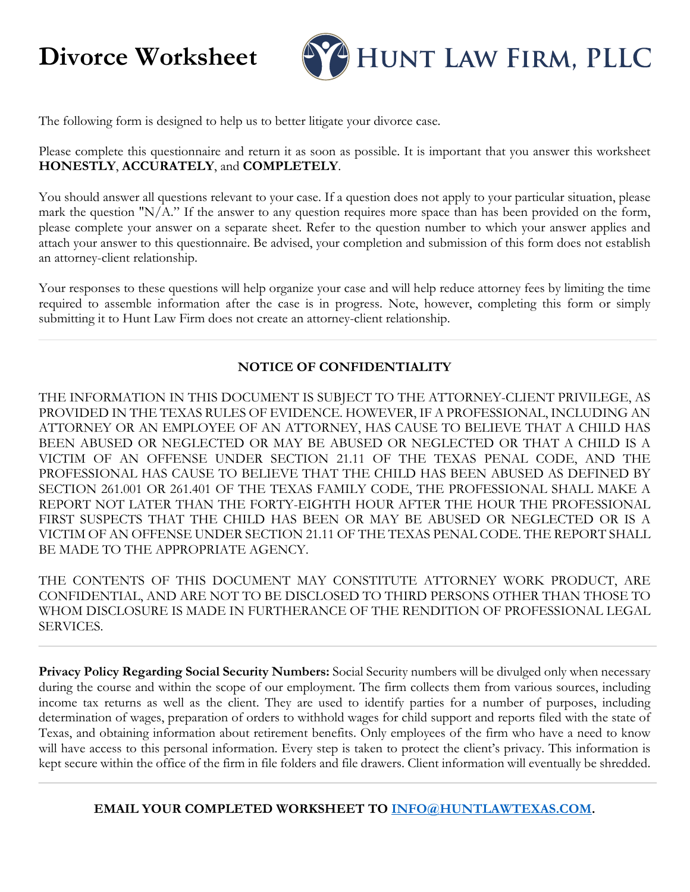# **Divorce Worksheet**



The following form is designed to help us to better litigate your divorce case.

Please complete this questionnaire and return it as soon as possible. It is important that you answer this worksheet **HONESTLY**, **ACCURATELY**, and **COMPLETELY**.

You should answer all questions relevant to your case. If a question does not apply to your particular situation, please mark the question "N/A." If the answer to any question requires more space than has been provided on the form, please complete your answer on a separate sheet. Refer to the question number to which your answer applies and attach your answer to this questionnaire. Be advised, your completion and submission of this form does not establish an attorney-client relationship.

Your responses to these questions will help organize your case and will help reduce attorney fees by limiting the time required to assemble information after the case is in progress. Note, however, completing this form or simply submitting it to Hunt Law Firm does not create an attorney-client relationship.

#### **NOTICE OF CONFIDENTIALITY**

THE INFORMATION IN THIS DOCUMENT IS SUBJECT TO THE ATTORNEY-CLIENT PRIVILEGE, AS PROVIDED IN THE TEXAS RULES OF EVIDENCE. HOWEVER, IF A PROFESSIONAL, INCLUDING AN ATTORNEY OR AN EMPLOYEE OF AN ATTORNEY, HAS CAUSE TO BELIEVE THAT A CHILD HAS BEEN ABUSED OR NEGLECTED OR MAY BE ABUSED OR NEGLECTED OR THAT A CHILD IS A VICTIM OF AN OFFENSE UNDER SECTION 21.11 OF THE TEXAS PENAL CODE, AND THE PROFESSIONAL HAS CAUSE TO BELIEVE THAT THE CHILD HAS BEEN ABUSED AS DEFINED BY SECTION 261.001 OR 261.401 OF THE TEXAS FAMILY CODE, THE PROFESSIONAL SHALL MAKE A REPORT NOT LATER THAN THE FORTY-EIGHTH HOUR AFTER THE HOUR THE PROFESSIONAL FIRST SUSPECTS THAT THE CHILD HAS BEEN OR MAY BE ABUSED OR NEGLECTED OR IS A VICTIM OF AN OFFENSE UNDER SECTION 21.11 OF THE TEXAS PENAL CODE. THE REPORT SHALL BE MADE TO THE APPROPRIATE AGENCY.

THE CONTENTS OF THIS DOCUMENT MAY CONSTITUTE ATTORNEY WORK PRODUCT, ARE CONFIDENTIAL, AND ARE NOT TO BE DISCLOSED TO THIRD PERSONS OTHER THAN THOSE TO WHOM DISCLOSURE IS MADE IN FURTHERANCE OF THE RENDITION OF PROFESSIONAL LEGAL SERVICES.

**Privacy Policy Regarding Social Security Numbers:** Social Security numbers will be divulged only when necessary during the course and within the scope of our employment. The firm collects them from various sources, including income tax returns as well as the client. They are used to identify parties for a number of purposes, including determination of wages, preparation of orders to withhold wages for child support and reports filed with the state of Texas, and obtaining information about retirement benefits. Only employees of the firm who have a need to know will have access to this personal information. Every step is taken to protect the client's privacy. This information is kept secure within the office of the firm in file folders and file drawers. Client information will eventually be shredded.

**EMAIL YOUR COMPLETED WORKSHEET TO INFO@HUNTLAWTEXAS.COM.**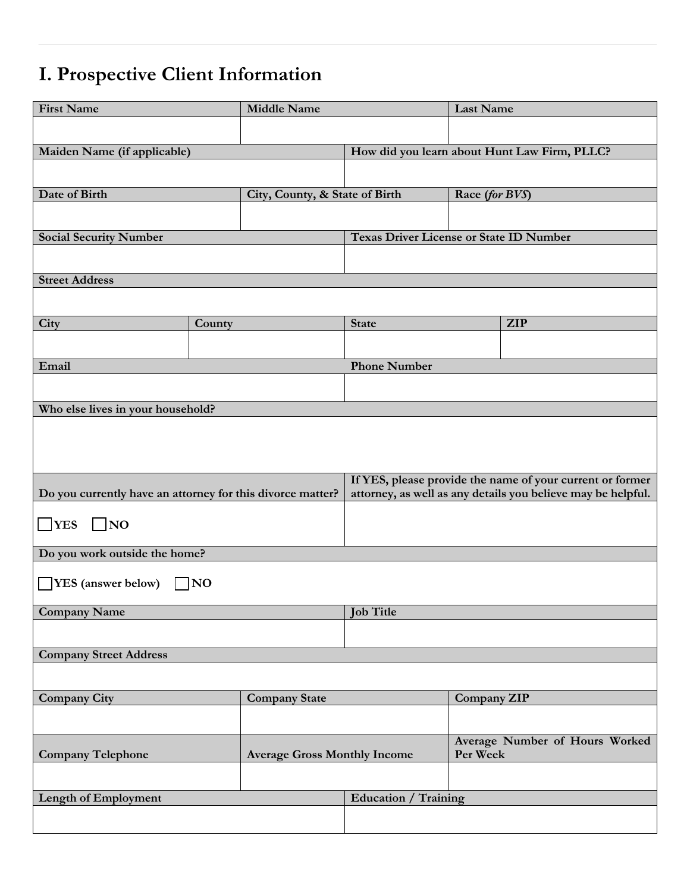# **I. Prospective Client Information**

| <b>First Name</b>                                               |        | <b>Middle Name</b>             |                                                | Last Name                                    |                                                              |
|-----------------------------------------------------------------|--------|--------------------------------|------------------------------------------------|----------------------------------------------|--------------------------------------------------------------|
|                                                                 |        |                                |                                                |                                              |                                                              |
| Maiden Name (if applicable)                                     |        |                                |                                                | How did you learn about Hunt Law Firm, PLLC? |                                                              |
|                                                                 |        |                                |                                                |                                              |                                                              |
| Date of Birth                                                   |        |                                |                                                |                                              |                                                              |
|                                                                 |        | City, County, & State of Birth |                                                | Race (for BVS)                               |                                                              |
|                                                                 |        |                                |                                                |                                              |                                                              |
| <b>Social Security Number</b>                                   |        |                                | <b>Texas Driver License or State ID Number</b> |                                              |                                                              |
|                                                                 |        |                                |                                                |                                              |                                                              |
| <b>Street Address</b>                                           |        |                                |                                                |                                              |                                                              |
|                                                                 |        |                                |                                                |                                              |                                                              |
| City                                                            | County |                                | <b>State</b>                                   |                                              | <b>ZIP</b>                                                   |
|                                                                 |        |                                |                                                |                                              |                                                              |
| Email                                                           |        |                                | <b>Phone Number</b>                            |                                              |                                                              |
|                                                                 |        |                                |                                                |                                              |                                                              |
|                                                                 |        |                                |                                                |                                              |                                                              |
| Who else lives in your household?                               |        |                                |                                                |                                              |                                                              |
|                                                                 |        |                                |                                                |                                              |                                                              |
|                                                                 |        |                                |                                                |                                              |                                                              |
|                                                                 |        |                                |                                                |                                              | If YES, please provide the name of your current or former    |
| Do you currently have an attorney for this divorce matter?      |        |                                |                                                |                                              | attorney, as well as any details you believe may be helpful. |
|                                                                 |        |                                |                                                |                                              |                                                              |
| $\Box$ YES<br>$\Box$ NO                                         |        |                                |                                                |                                              |                                                              |
| Do you work outside the home?                                   |        |                                |                                                |                                              |                                                              |
|                                                                 |        |                                |                                                |                                              |                                                              |
| <b>IVES</b> (answer below)                                      | ]NO    |                                |                                                |                                              |                                                              |
| <b>Company Name</b>                                             |        |                                | <b>Job Title</b>                               |                                              |                                                              |
|                                                                 |        |                                |                                                |                                              |                                                              |
| <b>Company Street Address</b>                                   |        |                                |                                                |                                              |                                                              |
|                                                                 |        |                                |                                                |                                              |                                                              |
|                                                                 |        |                                |                                                |                                              |                                                              |
| <b>Company City</b>                                             |        | <b>Company State</b>           |                                                | Company ZIP                                  |                                                              |
|                                                                 |        |                                |                                                |                                              |                                                              |
|                                                                 |        |                                |                                                | Average Number of Hours Worked               |                                                              |
| <b>Company Telephone</b><br><b>Average Gross Monthly Income</b> |        |                                | Per Week                                       |                                              |                                                              |
|                                                                 |        |                                |                                                |                                              |                                                              |
| Length of Employment                                            |        | <b>Education / Training</b>    |                                                |                                              |                                                              |
|                                                                 |        |                                |                                                |                                              |                                                              |
|                                                                 |        |                                |                                                |                                              |                                                              |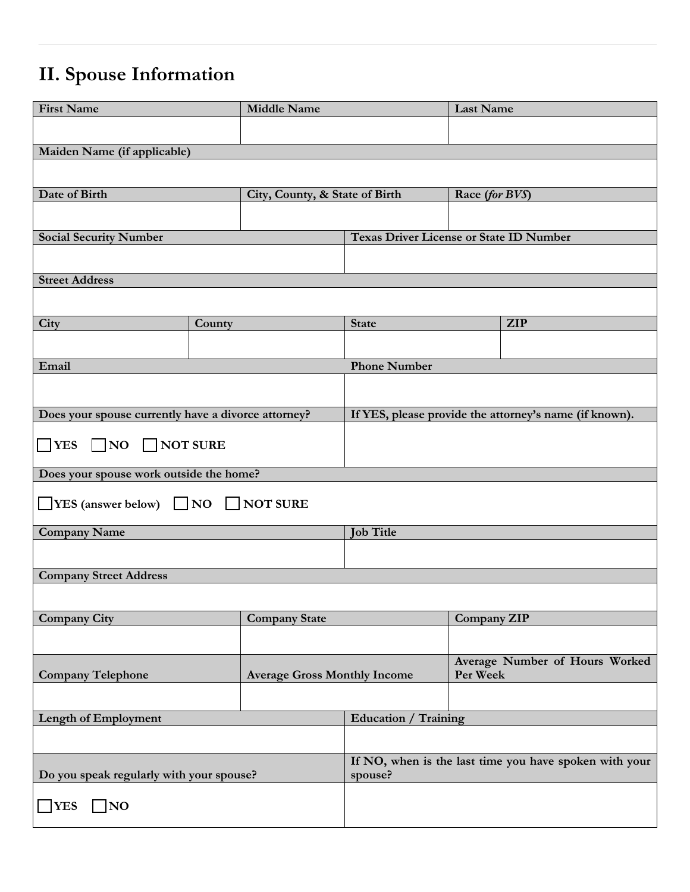# **II. Spouse Information**

| <b>First Name</b>                                   |        | <b>Middle Name</b>                                                |                                                | <b>Last Name</b>                           |                                                        |
|-----------------------------------------------------|--------|-------------------------------------------------------------------|------------------------------------------------|--------------------------------------------|--------------------------------------------------------|
|                                                     |        |                                                                   |                                                |                                            |                                                        |
| Maiden Name (if applicable)                         |        |                                                                   |                                                |                                            |                                                        |
|                                                     |        |                                                                   |                                                |                                            |                                                        |
| Date of Birth                                       |        | City, County, & State of Birth                                    |                                                | Race (for BVS)                             |                                                        |
|                                                     |        |                                                                   |                                                |                                            |                                                        |
| <b>Social Security Number</b>                       |        |                                                                   | <b>Texas Driver License or State ID Number</b> |                                            |                                                        |
|                                                     |        |                                                                   |                                                |                                            |                                                        |
| <b>Street Address</b>                               |        |                                                                   |                                                |                                            |                                                        |
|                                                     |        |                                                                   |                                                |                                            |                                                        |
| City                                                | County |                                                                   | <b>State</b>                                   |                                            | <b>ZIP</b>                                             |
|                                                     |        |                                                                   |                                                |                                            |                                                        |
| Email                                               |        |                                                                   | <b>Phone Number</b>                            |                                            |                                                        |
|                                                     |        |                                                                   |                                                |                                            |                                                        |
| Does your spouse currently have a divorce attorney? |        |                                                                   |                                                |                                            | If YES, please provide the attorney's name (if known). |
| $\Box$ YES $\Box$ NO $\Box$ NOT SURE                |        |                                                                   |                                                |                                            |                                                        |
| Does your spouse work outside the home?             |        |                                                                   |                                                |                                            |                                                        |
| $\Box$ YES (answer below) $\Box$ NO $\Box$ NOT SURE |        |                                                                   |                                                |                                            |                                                        |
| <b>Company Name</b>                                 |        | <b>Job Title</b>                                                  |                                                |                                            |                                                        |
|                                                     |        |                                                                   |                                                |                                            |                                                        |
| <b>Company Street Address</b>                       |        |                                                                   |                                                |                                            |                                                        |
|                                                     |        |                                                                   |                                                |                                            |                                                        |
| <b>Company City</b>                                 |        | <b>Company State</b>                                              |                                                | Company ZIP                                |                                                        |
|                                                     |        |                                                                   |                                                |                                            |                                                        |
| <b>Company Telephone</b>                            |        | <b>Average Gross Monthly Income</b>                               |                                                | Average Number of Hours Worked<br>Per Week |                                                        |
|                                                     |        |                                                                   |                                                |                                            |                                                        |
| Length of Employment                                |        | <b>Education / Training</b>                                       |                                                |                                            |                                                        |
|                                                     |        |                                                                   |                                                |                                            |                                                        |
| Do you speak regularly with your spouse?            |        | If NO, when is the last time you have spoken with your<br>spouse? |                                                |                                            |                                                        |
| $\Box$ NO<br><b>YES</b>                             |        |                                                                   |                                                |                                            |                                                        |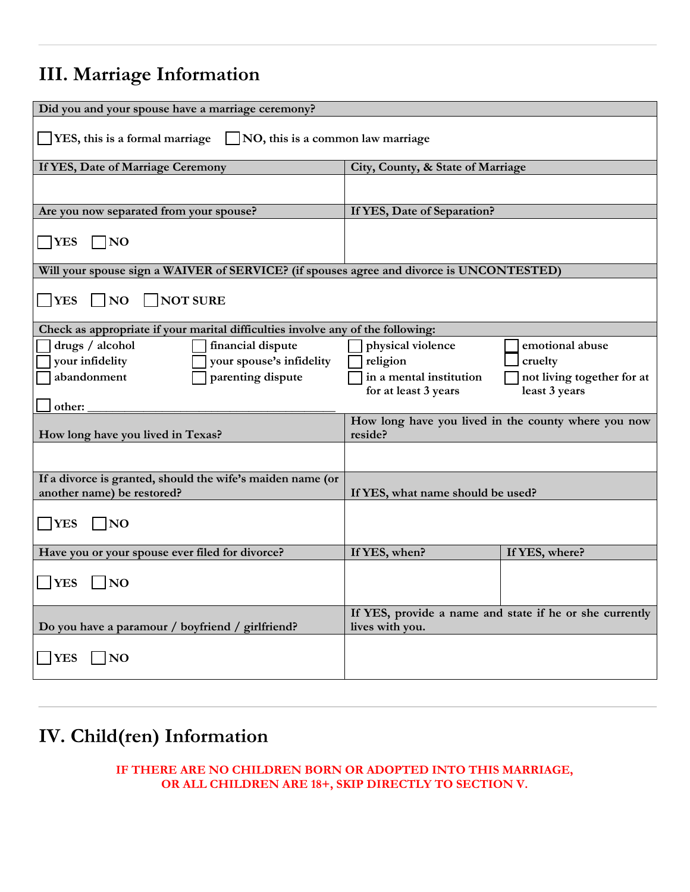## **III. Marriage Information**

| Did you and your spouse have a marriage ceremony?                                        |                                                 |                                                         |
|------------------------------------------------------------------------------------------|-------------------------------------------------|---------------------------------------------------------|
|                                                                                          |                                                 |                                                         |
| $\Box$ YES, this is a formal marriage $\Box$ NO, this is a common law marriage           |                                                 |                                                         |
|                                                                                          |                                                 |                                                         |
| If YES, Date of Marriage Ceremony                                                        | City, County, & State of Marriage               |                                                         |
|                                                                                          |                                                 |                                                         |
| Are you now separated from your spouse?                                                  | If YES, Date of Separation?                     |                                                         |
|                                                                                          |                                                 |                                                         |
| $\neg$ YES<br>$\bigcap$ NO                                                               |                                                 |                                                         |
| Will your spouse sign a WAIVER of SERVICE? (if spouses agree and divorce is UNCONTESTED) |                                                 |                                                         |
|                                                                                          |                                                 |                                                         |
| <b>TYES</b><br><b>NOT SURE</b><br> NO                                                    |                                                 |                                                         |
|                                                                                          |                                                 |                                                         |
| Check as appropriate if your marital difficulties involve any of the following:          |                                                 |                                                         |
| drugs / alcohol<br>financial dispute                                                     | physical violence                               | emotional abuse                                         |
| your infidelity<br>your spouse's infidelity                                              | religion                                        | cruelty                                                 |
| parenting dispute<br>abandonment                                                         | in a mental institution<br>for at least 3 years | not living together for at<br>least 3 years             |
| other:                                                                                   |                                                 |                                                         |
|                                                                                          |                                                 | How long have you lived in the county where you now     |
| How long have you lived in Texas?                                                        | reside?                                         |                                                         |
|                                                                                          |                                                 |                                                         |
| If a divorce is granted, should the wife's maiden name (or                               |                                                 |                                                         |
| another name) be restored?                                                               | If YES, what name should be used?               |                                                         |
|                                                                                          |                                                 |                                                         |
| <b>NO</b><br><b>YES</b>                                                                  |                                                 |                                                         |
| Have you or your spouse ever filed for divorce?                                          | If YES, when?                                   | If YES, where?                                          |
|                                                                                          |                                                 |                                                         |
| <b>YES</b><br>$\overline{N}$                                                             |                                                 |                                                         |
|                                                                                          |                                                 |                                                         |
| Do you have a paramour / boyfriend / girlfriend?                                         | lives with you.                                 | If YES, provide a name and state if he or she currently |
|                                                                                          |                                                 |                                                         |
| <b>YES</b><br>N <sub>O</sub>                                                             |                                                 |                                                         |
|                                                                                          |                                                 |                                                         |
|                                                                                          |                                                 |                                                         |

### **IV. Child(ren) Information**

**IF THERE ARE NO CHILDREN BORN OR ADOPTED INTO THIS MARRIAGE, OR ALL CHILDREN ARE 18+, SKIP DIRECTLY TO SECTION V.**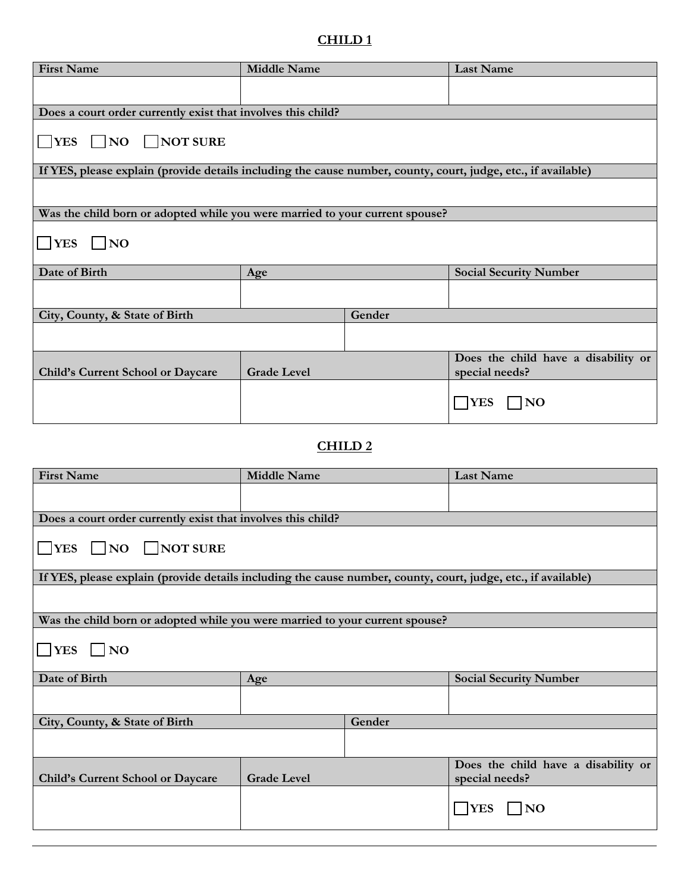#### **CHILD 1**

| <b>First Name</b>                                                                                             | <b>Middle Name</b>                   |        | <b>Last Name</b>                    |  |
|---------------------------------------------------------------------------------------------------------------|--------------------------------------|--------|-------------------------------------|--|
|                                                                                                               |                                      |        |                                     |  |
| Does a court order currently exist that involves this child?                                                  |                                      |        |                                     |  |
|                                                                                                               |                                      |        |                                     |  |
| $NES$ NO NOT SURE                                                                                             |                                      |        |                                     |  |
| If YES, please explain (provide details including the cause number, county, court, judge, etc., if available) |                                      |        |                                     |  |
|                                                                                                               |                                      |        |                                     |  |
| Was the child born or adopted while you were married to your current spouse?                                  |                                      |        |                                     |  |
| $\Box$ YES $\Box$ NO                                                                                          |                                      |        |                                     |  |
| Date of Birth                                                                                                 | Age<br><b>Social Security Number</b> |        |                                     |  |
|                                                                                                               |                                      |        |                                     |  |
| City, County, & State of Birth                                                                                |                                      | Gender |                                     |  |
|                                                                                                               |                                      |        |                                     |  |
|                                                                                                               |                                      |        | Does the child have a disability or |  |
| Child's Current School or Daycare                                                                             | <b>Grade Level</b>                   |        | special needs?                      |  |
|                                                                                                               |                                      |        | <b>NO</b><br><b>YES</b>             |  |

#### **CHILD 2**

| <b>First Name</b>                                                                                             | <b>Middle Name</b> |        | <b>Last Name</b>                                      |  |
|---------------------------------------------------------------------------------------------------------------|--------------------|--------|-------------------------------------------------------|--|
|                                                                                                               |                    |        |                                                       |  |
|                                                                                                               |                    |        |                                                       |  |
| Does a court order currently exist that involves this child?                                                  |                    |        |                                                       |  |
| $\Box$ YES $\Box$ NO $\Box$ NOT SURE                                                                          |                    |        |                                                       |  |
| If YES, please explain (provide details including the cause number, county, court, judge, etc., if available) |                    |        |                                                       |  |
|                                                                                                               |                    |        |                                                       |  |
|                                                                                                               |                    |        |                                                       |  |
| Was the child born or adopted while you were married to your current spouse?                                  |                    |        |                                                       |  |
| $\Box$ YES $\Box$ NO                                                                                          |                    |        |                                                       |  |
| Date of Birth                                                                                                 | Age                |        | <b>Social Security Number</b>                         |  |
|                                                                                                               |                    |        |                                                       |  |
| City, County, & State of Birth                                                                                |                    | Gender |                                                       |  |
|                                                                                                               |                    |        |                                                       |  |
| Child's Current School or Daycare                                                                             | <b>Grade Level</b> |        | Does the child have a disability or<br>special needs? |  |
|                                                                                                               |                    |        | <b>YES</b><br>$\overline{\phantom{a}}$ NO             |  |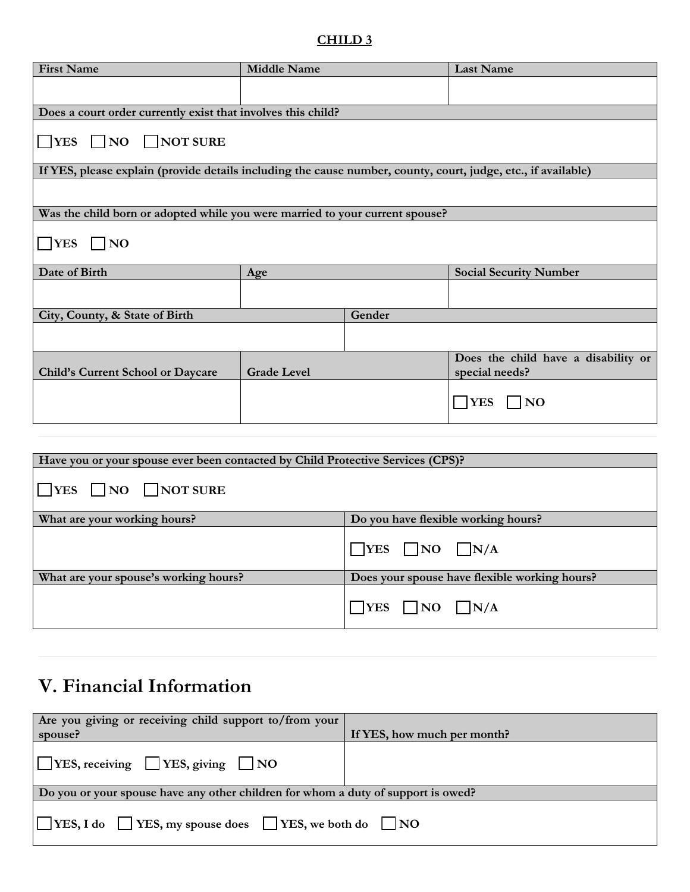#### **CHILD 3**

| <b>First Name</b>                                                                                             | <b>Middle Name</b> |        | <b>Last Name</b>                                      |  |
|---------------------------------------------------------------------------------------------------------------|--------------------|--------|-------------------------------------------------------|--|
|                                                                                                               |                    |        |                                                       |  |
|                                                                                                               |                    |        |                                                       |  |
| Does a court order currently exist that involves this child?                                                  |                    |        |                                                       |  |
| $NES$ NO NOT SURE                                                                                             |                    |        |                                                       |  |
| If YES, please explain (provide details including the cause number, county, court, judge, etc., if available) |                    |        |                                                       |  |
|                                                                                                               |                    |        |                                                       |  |
| Was the child born or adopted while you were married to your current spouse?                                  |                    |        |                                                       |  |
| $\Box$ YES<br>$\vert$ NO                                                                                      |                    |        |                                                       |  |
| Date of Birth                                                                                                 | Age                |        | <b>Social Security Number</b>                         |  |
|                                                                                                               |                    |        |                                                       |  |
| City, County, & State of Birth                                                                                |                    | Gender |                                                       |  |
|                                                                                                               |                    |        |                                                       |  |
| Child's Current School or Daycare                                                                             | <b>Grade Level</b> |        | Does the child have a disability or<br>special needs? |  |
|                                                                                                               |                    |        |                                                       |  |
|                                                                                                               |                    |        | $\Box$ NO<br><b>YES</b>                               |  |
|                                                                                                               |                    |        |                                                       |  |

| Have you or your spouse ever been contacted by Child Protective Services (CPS)? |                                               |
|---------------------------------------------------------------------------------|-----------------------------------------------|
| $\Box$ YES $\Box$ NO $\Box$ NOT SURE                                            |                                               |
| What are your working hours?                                                    | Do you have flexible working hours?           |
|                                                                                 | $\Box$ YES $\Box$ NO $\Box$ N/A               |
| What are your spouse's working hours?                                           | Does your spouse have flexible working hours? |
|                                                                                 | $ $   YES     NO     N/A                      |

### **V. Financial Information**

| Are you giving or receiving child support to/from your                            |                             |  |
|-----------------------------------------------------------------------------------|-----------------------------|--|
| spouse?                                                                           | If YES, how much per month? |  |
| $\Box$ YES, receiving $\Box$ YES, giving $\Box$ NO                                |                             |  |
| Do you or your spouse have any other children for whom a duty of support is owed? |                             |  |
| $\Box$ YES, I do $\Box$ YES, my spouse does $\Box$ YES, we both do $\Box$ NO      |                             |  |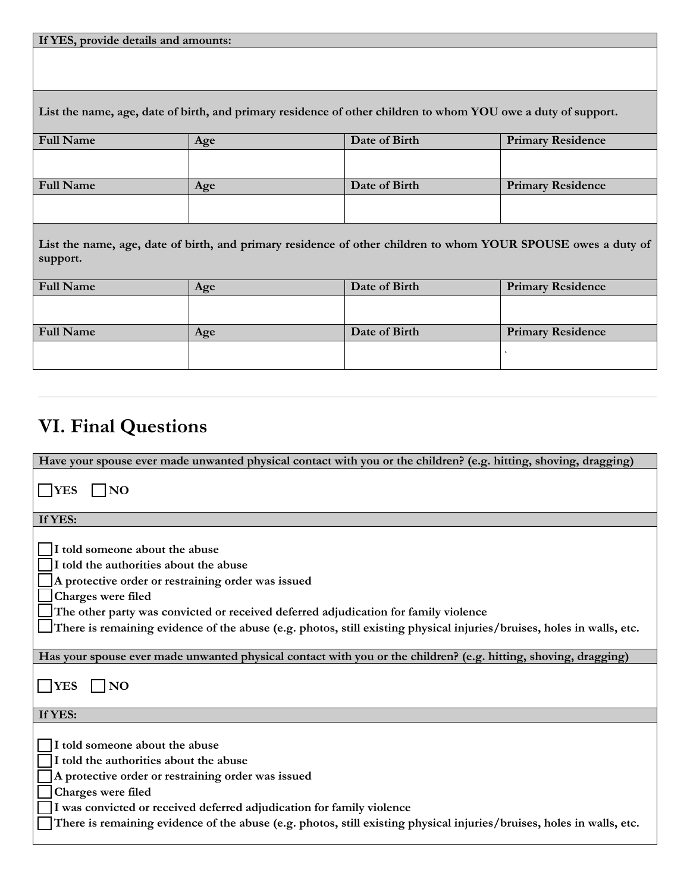| List the name, age, date of birth, and primary residence of other children to whom YOU owe a duty of support.             |     |               |                          |  |  |
|---------------------------------------------------------------------------------------------------------------------------|-----|---------------|--------------------------|--|--|
| <b>Full Name</b>                                                                                                          | Age | Date of Birth | <b>Primary Residence</b> |  |  |
|                                                                                                                           |     |               |                          |  |  |
| <b>Full Name</b>                                                                                                          | Age | Date of Birth | <b>Primary Residence</b> |  |  |
|                                                                                                                           |     |               |                          |  |  |
| List the name, age, date of birth, and primary residence of other children to whom YOUR SPOUSE owes a duty of<br>support. |     |               |                          |  |  |
| <b>Full Name</b>                                                                                                          | Age | Date of Birth | <b>Primary Residence</b> |  |  |
|                                                                                                                           |     |               |                          |  |  |
| <b>Full Name</b>                                                                                                          | Age | Date of Birth | <b>Primary Residence</b> |  |  |
|                                                                                                                           |     |               |                          |  |  |

## **VI. Final Questions**

**If YES, provide details and amounts:**

| Have your spouse ever made unwanted physical contact with you or the children? (e.g. hitting, shoving, dragging)                                                                                                                                                                                                                                                     |
|----------------------------------------------------------------------------------------------------------------------------------------------------------------------------------------------------------------------------------------------------------------------------------------------------------------------------------------------------------------------|
| $\Box$ YES<br>$\vert$ NO                                                                                                                                                                                                                                                                                                                                             |
| If YES:                                                                                                                                                                                                                                                                                                                                                              |
| I told someone about the abuse<br>I told the authorities about the abuse<br>A protective order or restraining order was issued<br>Charges were filed<br>The other party was convicted or received deferred adjudication for family violence<br>There is remaining evidence of the abuse (e.g. photos, still existing physical injuries/bruises, holes in walls, etc. |
|                                                                                                                                                                                                                                                                                                                                                                      |
| Has your spouse ever made unwanted physical contact with you or the children? (e.g. hitting, shoving, dragging)                                                                                                                                                                                                                                                      |
| $ $ YES<br>$\overline{N}$                                                                                                                                                                                                                                                                                                                                            |
| If YES:                                                                                                                                                                                                                                                                                                                                                              |
| I told someone about the abuse<br>I told the authorities about the abuse<br>A protective order or restraining order was issued<br>Charges were filed<br>I was convicted or received deferred adjudication for family violence<br>There is remaining evidence of the abuse (e.g. photos, still existing physical injuries/bruises, holes in walls, etc.               |